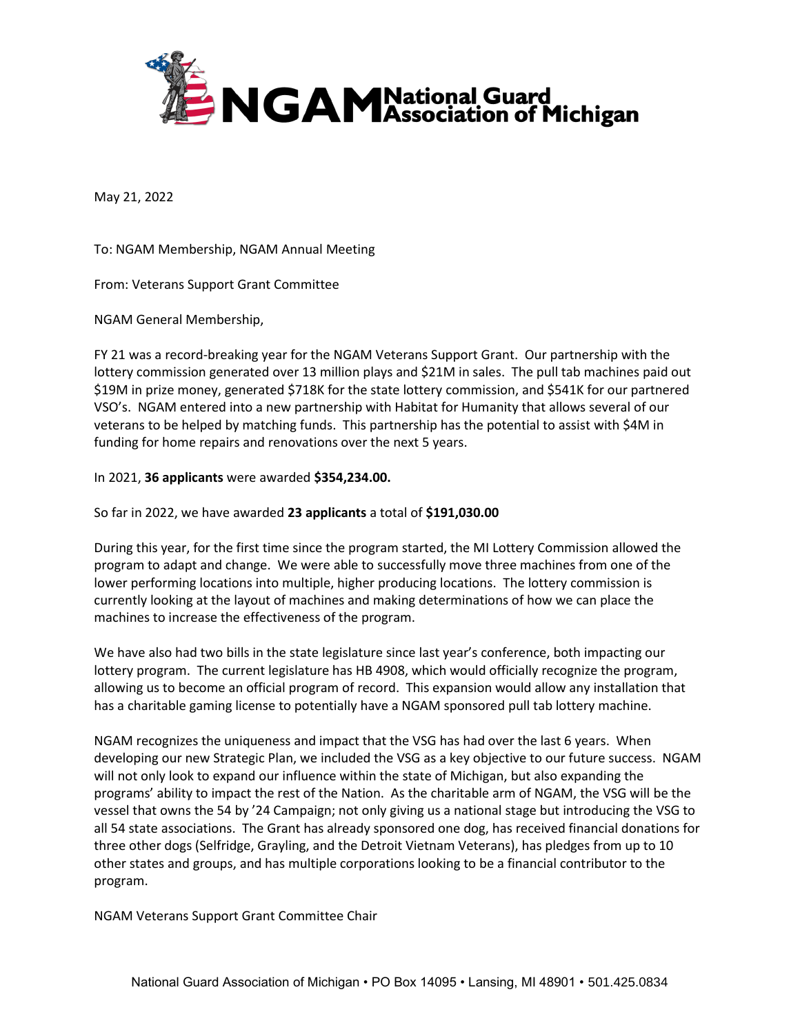

May 21, 2022

To: NGAM Membership, NGAM Annual Meeting

From: Veterans Support Grant Committee

NGAM General Membership,

FY 21 was a record-breaking year for the NGAM Veterans Support Grant. Our partnership with the lottery commission generated over 13 million plays and \$21M in sales. The pull tab machines paid out \$19M in prize money, generated \$718K for the state lottery commission, and \$541K for our partnered VSO's. NGAM entered into a new partnership with Habitat for Humanity that allows several of our veterans to be helped by matching funds. This partnership has the potential to assist with \$4M in funding for home repairs and renovations over the next 5 years.

## In 2021, **36 applicants** were awarded **\$354,234.00.**

So far in 2022, we have awarded **23 applicants** a total of **\$191,030.00**

During this year, for the first time since the program started, the MI Lottery Commission allowed the program to adapt and change. We were able to successfully move three machines from one of the lower performing locations into multiple, higher producing locations. The lottery commission is currently looking at the layout of machines and making determinations of how we can place the machines to increase the effectiveness of the program.

We have also had two bills in the state legislature since last year's conference, both impacting our lottery program. The current legislature has HB 4908, which would officially recognize the program, allowing us to become an official program of record. This expansion would allow any installation that has a charitable gaming license to potentially have a NGAM sponsored pull tab lottery machine.

NGAM recognizes the uniqueness and impact that the VSG has had over the last 6 years. When developing our new Strategic Plan, we included the VSG as a key objective to our future success. NGAM will not only look to expand our influence within the state of Michigan, but also expanding the programs' ability to impact the rest of the Nation. As the charitable arm of NGAM, the VSG will be the vessel that owns the 54 by '24 Campaign; not only giving us a national stage but introducing the VSG to all 54 state associations. The Grant has already sponsored one dog, has received financial donations for three other dogs (Selfridge, Grayling, and the Detroit Vietnam Veterans), has pledges from up to 10 other states and groups, and has multiple corporations looking to be a financial contributor to the program.

NGAM Veterans Support Grant Committee Chair